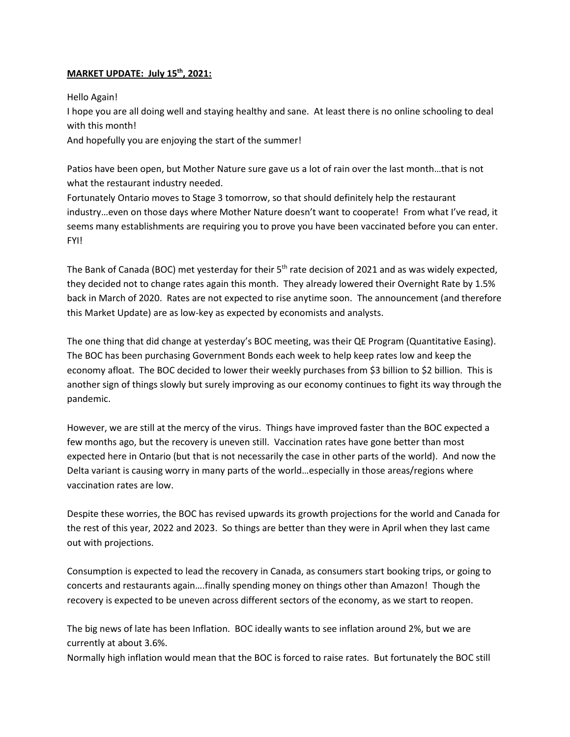## **MARKET UPDATE: July 15 th, 2021:**

## Hello Again!

I hope you are all doing well and staying healthy and sane. At least there is no online schooling to deal with this month!

And hopefully you are enjoying the start of the summer!

Patios have been open, but Mother Nature sure gave us a lot of rain over the last month…that is not what the restaurant industry needed.

Fortunately Ontario moves to Stage 3 tomorrow, so that should definitely help the restaurant industry…even on those days where Mother Nature doesn't want to cooperate! From what I've read, it seems many establishments are requiring you to prove you have been vaccinated before you can enter. FYI!

The Bank of Canada (BOC) met yesterday for their  $5<sup>th</sup>$  rate decision of 2021 and as was widely expected, they decided not to change rates again this month. They already lowered their Overnight Rate by 1.5% back in March of 2020. Rates are not expected to rise anytime soon. The announcement (and therefore this Market Update) are as low-key as expected by economists and analysts.

The one thing that did change at yesterday's BOC meeting, was their QE Program (Quantitative Easing). The BOC has been purchasing Government Bonds each week to help keep rates low and keep the economy afloat. The BOC decided to lower their weekly purchases from \$3 billion to \$2 billion. This is another sign of things slowly but surely improving as our economy continues to fight its way through the pandemic.

However, we are still at the mercy of the virus. Things have improved faster than the BOC expected a few months ago, but the recovery is uneven still. Vaccination rates have gone better than most expected here in Ontario (but that is not necessarily the case in other parts of the world). And now the Delta variant is causing worry in many parts of the world…especially in those areas/regions where vaccination rates are low.

Despite these worries, the BOC has revised upwards its growth projections for the world and Canada for the rest of this year, 2022 and 2023. So things are better than they were in April when they last came out with projections.

Consumption is expected to lead the recovery in Canada, as consumers start booking trips, or going to concerts and restaurants again….finally spending money on things other than Amazon! Though the recovery is expected to be uneven across different sectors of the economy, as we start to reopen.

The big news of late has been Inflation. BOC ideally wants to see inflation around 2%, but we are currently at about 3.6%.

Normally high inflation would mean that the BOC is forced to raise rates. But fortunately the BOC still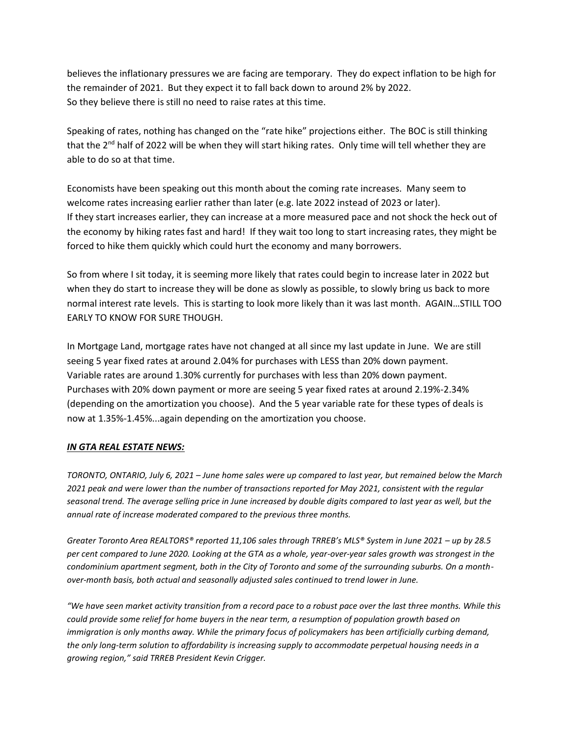believes the inflationary pressures we are facing are temporary. They do expect inflation to be high for the remainder of 2021. But they expect it to fall back down to around 2% by 2022. So they believe there is still no need to raise rates at this time.

Speaking of rates, nothing has changed on the "rate hike" projections either. The BOC is still thinking that the  $2^{nd}$  half of 2022 will be when they will start hiking rates. Only time will tell whether they are able to do so at that time.

Economists have been speaking out this month about the coming rate increases. Many seem to welcome rates increasing earlier rather than later (e.g. late 2022 instead of 2023 or later). If they start increases earlier, they can increase at a more measured pace and not shock the heck out of the economy by hiking rates fast and hard! If they wait too long to start increasing rates, they might be forced to hike them quickly which could hurt the economy and many borrowers.

So from where I sit today, it is seeming more likely that rates could begin to increase later in 2022 but when they do start to increase they will be done as slowly as possible, to slowly bring us back to more normal interest rate levels. This is starting to look more likely than it was last month. AGAIN…STILL TOO EARLY TO KNOW FOR SURE THOUGH.

In Mortgage Land, mortgage rates have not changed at all since my last update in June. We are still seeing 5 year fixed rates at around 2.04% for purchases with LESS than 20% down payment. Variable rates are around 1.30% currently for purchases with less than 20% down payment. Purchases with 20% down payment or more are seeing 5 year fixed rates at around 2.19%-2.34% (depending on the amortization you choose). And the 5 year variable rate for these types of deals is now at 1.35%-1.45%...again depending on the amortization you choose.

## *IN GTA REAL ESTATE NEWS:*

*TORONTO, ONTARIO, July 6, 2021 – June home sales were up compared to last year, but remained below the March 2021 peak and were lower than the number of transactions reported for May 2021, consistent with the regular seasonal trend. The average selling price in June increased by double digits compared to last year as well, but the annual rate of increase moderated compared to the previous three months.* 

*Greater Toronto Area REALTORS® reported 11,106 sales through TRREB's MLS® System in June 2021 – up by 28.5 per cent compared to June 2020. Looking at the GTA as a whole, year-over-year sales growth was strongest in the condominium apartment segment, both in the City of Toronto and some of the surrounding suburbs. On a monthover-month basis, both actual and seasonally adjusted sales continued to trend lower in June.* 

*"We have seen market activity transition from a record pace to a robust pace over the last three months. While this could provide some relief for home buyers in the near term, a resumption of population growth based on immigration is only months away. While the primary focus of policymakers has been artificially curbing demand, the only long-term solution to affordability is increasing supply to accommodate perpetual housing needs in a growing region," said TRREB President Kevin Crigger.*